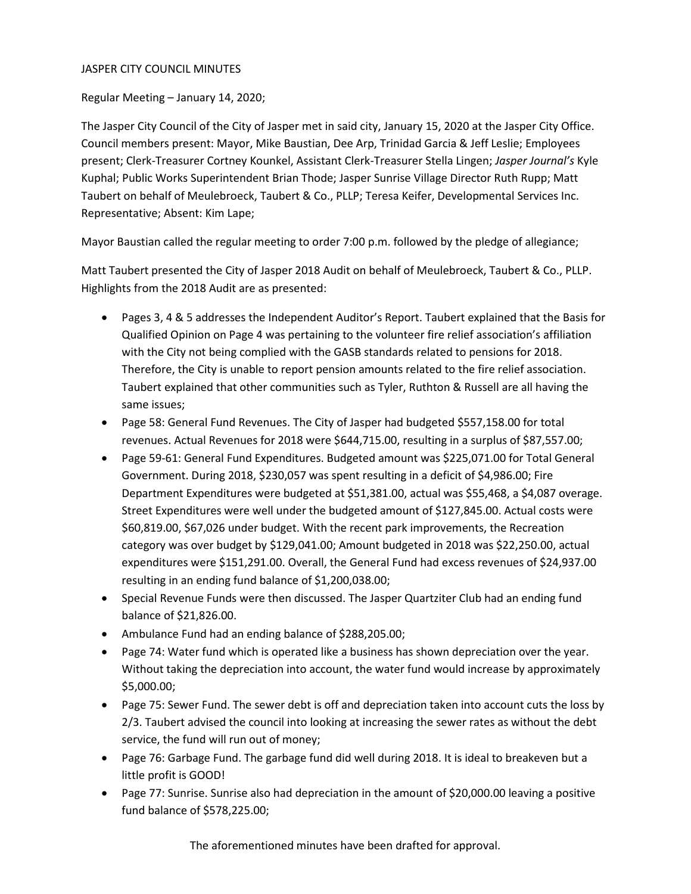## JASPER CITY COUNCIL MINUTES

Regular Meeting – January 14, 2020;

The Jasper City Council of the City of Jasper met in said city, January 15, 2020 at the Jasper City Office. Council members present: Mayor, Mike Baustian, Dee Arp, Trinidad Garcia & Jeff Leslie; Employees present; Clerk-Treasurer Cortney Kounkel, Assistant Clerk-Treasurer Stella Lingen; *Jasper Journal's* Kyle Kuphal; Public Works Superintendent Brian Thode; Jasper Sunrise Village Director Ruth Rupp; Matt Taubert on behalf of Meulebroeck, Taubert & Co., PLLP; Teresa Keifer, Developmental Services Inc. Representative; Absent: Kim Lape;

Mayor Baustian called the regular meeting to order 7:00 p.m. followed by the pledge of allegiance;

Matt Taubert presented the City of Jasper 2018 Audit on behalf of Meulebroeck, Taubert & Co., PLLP. Highlights from the 2018 Audit are as presented:

- Pages 3, 4 & 5 addresses the Independent Auditor's Report. Taubert explained that the Basis for Qualified Opinion on Page 4 was pertaining to the volunteer fire relief association's affiliation with the City not being complied with the GASB standards related to pensions for 2018. Therefore, the City is unable to report pension amounts related to the fire relief association. Taubert explained that other communities such as Tyler, Ruthton & Russell are all having the same issues;
- Page 58: General Fund Revenues. The City of Jasper had budgeted \$557,158.00 for total revenues. Actual Revenues for 2018 were \$644,715.00, resulting in a surplus of \$87,557.00;
- Page 59-61: General Fund Expenditures. Budgeted amount was \$225,071.00 for Total General Government. During 2018, \$230,057 was spent resulting in a deficit of \$4,986.00; Fire Department Expenditures were budgeted at \$51,381.00, actual was \$55,468, a \$4,087 overage. Street Expenditures were well under the budgeted amount of \$127,845.00. Actual costs were \$60,819.00, \$67,026 under budget. With the recent park improvements, the Recreation category was over budget by \$129,041.00; Amount budgeted in 2018 was \$22,250.00, actual expenditures were \$151,291.00. Overall, the General Fund had excess revenues of \$24,937.00 resulting in an ending fund balance of \$1,200,038.00;
- Special Revenue Funds were then discussed. The Jasper Quartziter Club had an ending fund balance of \$21,826.00.
- Ambulance Fund had an ending balance of \$288,205.00;
- Page 74: Water fund which is operated like a business has shown depreciation over the year. Without taking the depreciation into account, the water fund would increase by approximately \$5,000.00;
- Page 75: Sewer Fund. The sewer debt is off and depreciation taken into account cuts the loss by 2/3. Taubert advised the council into looking at increasing the sewer rates as without the debt service, the fund will run out of money;
- Page 76: Garbage Fund. The garbage fund did well during 2018. It is ideal to breakeven but a little profit is GOOD!
- Page 77: Sunrise. Sunrise also had depreciation in the amount of \$20,000.00 leaving a positive fund balance of \$578,225.00;

The aforementioned minutes have been drafted for approval.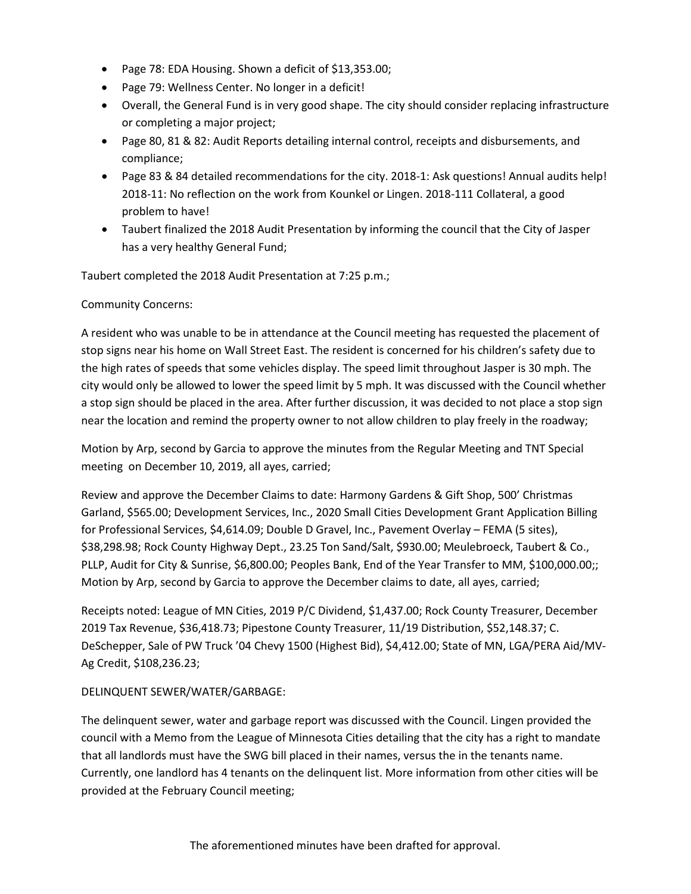- Page 78: EDA Housing. Shown a deficit of \$13,353.00;
- Page 79: Wellness Center. No longer in a deficit!
- Overall, the General Fund is in very good shape. The city should consider replacing infrastructure or completing a major project;
- Page 80, 81 & 82: Audit Reports detailing internal control, receipts and disbursements, and compliance;
- Page 83 & 84 detailed recommendations for the city. 2018-1: Ask questions! Annual audits help! 2018-11: No reflection on the work from Kounkel or Lingen. 2018-111 Collateral, a good problem to have!
- Taubert finalized the 2018 Audit Presentation by informing the council that the City of Jasper has a very healthy General Fund;

Taubert completed the 2018 Audit Presentation at 7:25 p.m.;

## Community Concerns:

A resident who was unable to be in attendance at the Council meeting has requested the placement of stop signs near his home on Wall Street East. The resident is concerned for his children's safety due to the high rates of speeds that some vehicles display. The speed limit throughout Jasper is 30 mph. The city would only be allowed to lower the speed limit by 5 mph. It was discussed with the Council whether a stop sign should be placed in the area. After further discussion, it was decided to not place a stop sign near the location and remind the property owner to not allow children to play freely in the roadway;

Motion by Arp, second by Garcia to approve the minutes from the Regular Meeting and TNT Special meeting on December 10, 2019, all ayes, carried;

Review and approve the December Claims to date: Harmony Gardens & Gift Shop, 500' Christmas Garland, \$565.00; Development Services, Inc., 2020 Small Cities Development Grant Application Billing for Professional Services, \$4,614.09; Double D Gravel, Inc., Pavement Overlay – FEMA (5 sites), \$38,298.98; Rock County Highway Dept., 23.25 Ton Sand/Salt, \$930.00; Meulebroeck, Taubert & Co., PLLP, Audit for City & Sunrise, \$6,800.00; Peoples Bank, End of the Year Transfer to MM, \$100,000.00;; Motion by Arp, second by Garcia to approve the December claims to date, all ayes, carried;

Receipts noted: League of MN Cities, 2019 P/C Dividend, \$1,437.00; Rock County Treasurer, December 2019 Tax Revenue, \$36,418.73; Pipestone County Treasurer, 11/19 Distribution, \$52,148.37; C. DeSchepper, Sale of PW Truck '04 Chevy 1500 (Highest Bid), \$4,412.00; State of MN, LGA/PERA Aid/MV-Ag Credit, \$108,236.23;

# DELINQUENT SEWER/WATER/GARBAGE:

The delinquent sewer, water and garbage report was discussed with the Council. Lingen provided the council with a Memo from the League of Minnesota Cities detailing that the city has a right to mandate that all landlords must have the SWG bill placed in their names, versus the in the tenants name. Currently, one landlord has 4 tenants on the delinquent list. More information from other cities will be provided at the February Council meeting;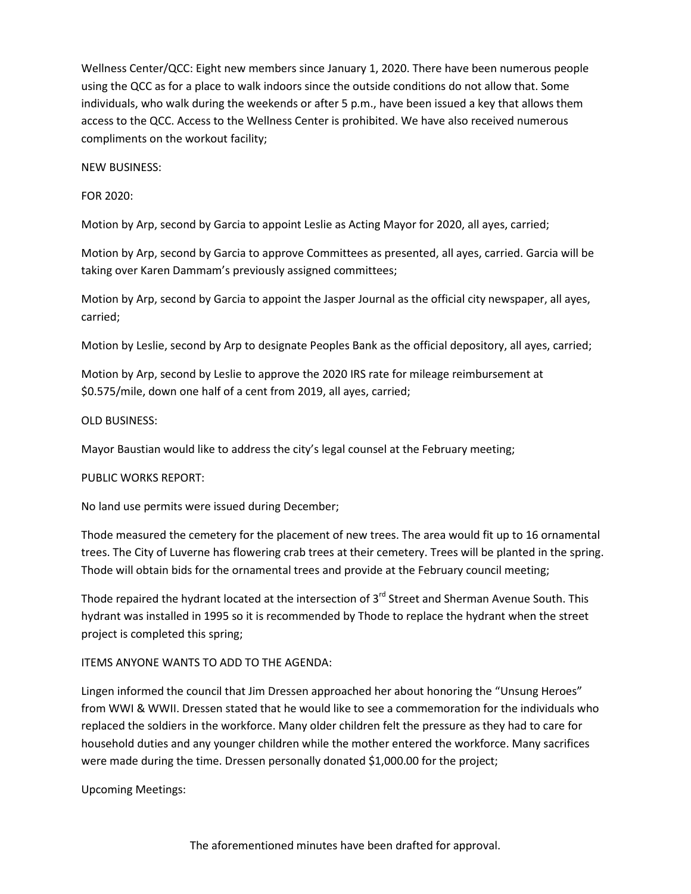Wellness Center/QCC: Eight new members since January 1, 2020. There have been numerous people using the QCC as for a place to walk indoors since the outside conditions do not allow that. Some individuals, who walk during the weekends or after 5 p.m., have been issued a key that allows them access to the QCC. Access to the Wellness Center is prohibited. We have also received numerous compliments on the workout facility;

NEW BUSINESS:

FOR 2020:

Motion by Arp, second by Garcia to appoint Leslie as Acting Mayor for 2020, all ayes, carried;

Motion by Arp, second by Garcia to approve Committees as presented, all ayes, carried. Garcia will be taking over Karen Dammam's previously assigned committees;

Motion by Arp, second by Garcia to appoint the Jasper Journal as the official city newspaper, all ayes, carried;

Motion by Leslie, second by Arp to designate Peoples Bank as the official depository, all ayes, carried;

Motion by Arp, second by Leslie to approve the 2020 IRS rate for mileage reimbursement at \$0.575/mile, down one half of a cent from 2019, all ayes, carried;

#### OLD BUSINESS:

Mayor Baustian would like to address the city's legal counsel at the February meeting;

PUBLIC WORKS REPORT:

No land use permits were issued during December;

Thode measured the cemetery for the placement of new trees. The area would fit up to 16 ornamental trees. The City of Luverne has flowering crab trees at their cemetery. Trees will be planted in the spring. Thode will obtain bids for the ornamental trees and provide at the February council meeting;

Thode repaired the hydrant located at the intersection of 3<sup>rd</sup> Street and Sherman Avenue South. This hydrant was installed in 1995 so it is recommended by Thode to replace the hydrant when the street project is completed this spring;

## ITEMS ANYONE WANTS TO ADD TO THE AGENDA:

Lingen informed the council that Jim Dressen approached her about honoring the "Unsung Heroes" from WWI & WWII. Dressen stated that he would like to see a commemoration for the individuals who replaced the soldiers in the workforce. Many older children felt the pressure as they had to care for household duties and any younger children while the mother entered the workforce. Many sacrifices were made during the time. Dressen personally donated \$1,000.00 for the project;

Upcoming Meetings: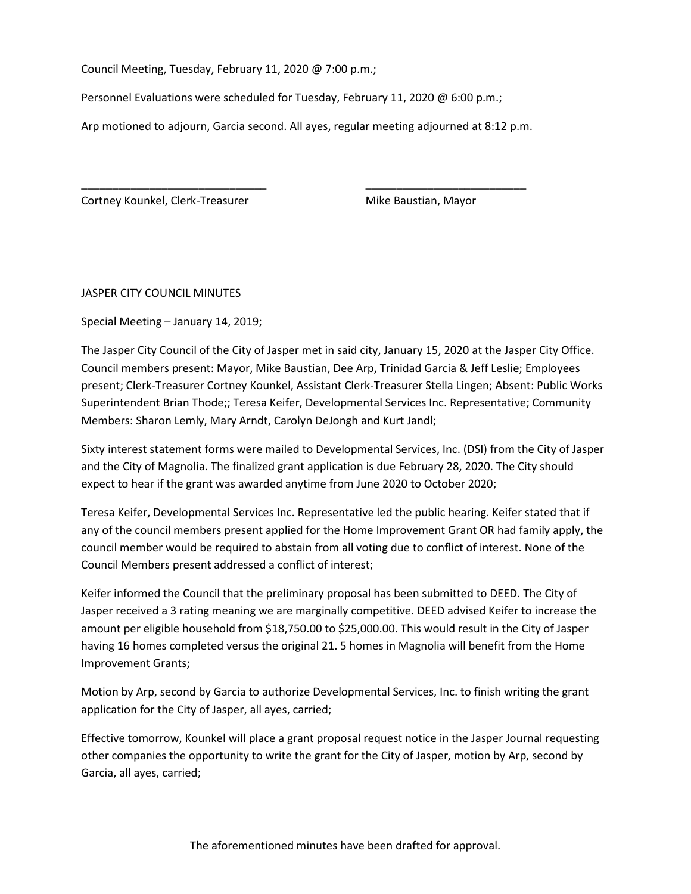Council Meeting, Tuesday, February 11, 2020 @ 7:00 p.m.;

Personnel Evaluations were scheduled for Tuesday, February 11, 2020 @ 6:00 p.m.;

Arp motioned to adjourn, Garcia second. All ayes, regular meeting adjourned at 8:12 p.m.

\_\_\_\_\_\_\_\_\_\_\_\_\_\_\_\_\_\_\_\_\_\_\_\_\_\_\_\_\_\_ \_\_\_\_\_\_\_\_\_\_\_\_\_\_\_\_\_\_\_\_\_\_\_\_\_\_

Cortney Kounkel, Clerk-Treasurer Mike Baustian, Mayor

JASPER CITY COUNCIL MINUTES

Special Meeting – January 14, 2019;

The Jasper City Council of the City of Jasper met in said city, January 15, 2020 at the Jasper City Office. Council members present: Mayor, Mike Baustian, Dee Arp, Trinidad Garcia & Jeff Leslie; Employees present; Clerk-Treasurer Cortney Kounkel, Assistant Clerk-Treasurer Stella Lingen; Absent: Public Works Superintendent Brian Thode;; Teresa Keifer, Developmental Services Inc. Representative; Community Members: Sharon Lemly, Mary Arndt, Carolyn DeJongh and Kurt Jandl;

Sixty interest statement forms were mailed to Developmental Services, Inc. (DSI) from the City of Jasper and the City of Magnolia. The finalized grant application is due February 28, 2020. The City should expect to hear if the grant was awarded anytime from June 2020 to October 2020;

Teresa Keifer, Developmental Services Inc. Representative led the public hearing. Keifer stated that if any of the council members present applied for the Home Improvement Grant OR had family apply, the council member would be required to abstain from all voting due to conflict of interest. None of the Council Members present addressed a conflict of interest;

Keifer informed the Council that the preliminary proposal has been submitted to DEED. The City of Jasper received a 3 rating meaning we are marginally competitive. DEED advised Keifer to increase the amount per eligible household from \$18,750.00 to \$25,000.00. This would result in the City of Jasper having 16 homes completed versus the original 21. 5 homes in Magnolia will benefit from the Home Improvement Grants;

Motion by Arp, second by Garcia to authorize Developmental Services, Inc. to finish writing the grant application for the City of Jasper, all ayes, carried;

Effective tomorrow, Kounkel will place a grant proposal request notice in the Jasper Journal requesting other companies the opportunity to write the grant for the City of Jasper, motion by Arp, second by Garcia, all ayes, carried;